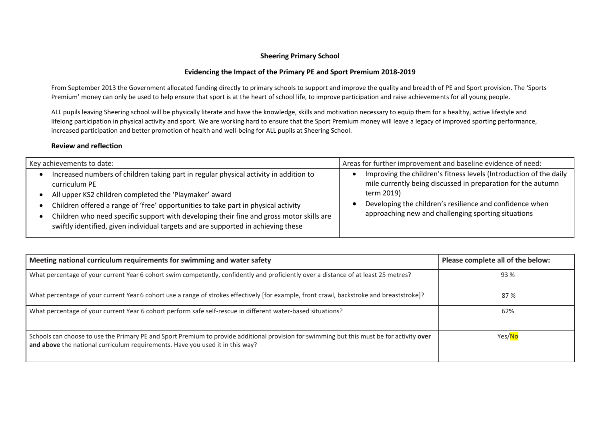## **Sheering Primary School**

## **Evidencing the Impact of the Primary PE and Sport Premium 2018-2019**

From September 2013 the Government allocated funding directly to primary schools to support and improve the quality and breadth of PE and Sport provision. The 'Sports Premium' money can only be used to help ensure that sport is at the heart of school life, to improve participation and raise achievements for all young people.

ALL pupils leaving Sheering school will be physically literate and have the knowledge, skills and motivation necessary to equip them for a healthy, active lifestyle and lifelong participation in physical activity and sport. We are working hard to ensure that the Sport Premium money will leave a legacy of improved sporting performance, increased participation and better promotion of health and well-being for ALL pupils at Sheering School.

## **Review and reflection**

| Key achievements to date:                                                                                                                                                                                                                                                                                                                                                                                                               | Areas for further improvement and baseline evidence of need:                                                                                                                                                                                                        |
|-----------------------------------------------------------------------------------------------------------------------------------------------------------------------------------------------------------------------------------------------------------------------------------------------------------------------------------------------------------------------------------------------------------------------------------------|---------------------------------------------------------------------------------------------------------------------------------------------------------------------------------------------------------------------------------------------------------------------|
| Increased numbers of children taking part in regular physical activity in addition to<br>curriculum PE<br>All upper KS2 children completed the 'Playmaker' award<br>Children offered a range of 'free' opportunities to take part in physical activity<br>Children who need specific support with developing their fine and gross motor skills are<br>swiftly identified, given individual targets and are supported in achieving these | Improving the children's fitness levels (Introduction of the daily<br>mile currently being discussed in preparation for the autumn<br>term 2019)<br>Developing the children's resilience and confidence when<br>approaching new and challenging sporting situations |

| Meeting national curriculum requirements for swimming and water safety                                                                                                                                                      | Please complete all of the below: |
|-----------------------------------------------------------------------------------------------------------------------------------------------------------------------------------------------------------------------------|-----------------------------------|
| What percentage of your current Year 6 cohort swim competently, confidently and proficiently over a distance of at least 25 metres?                                                                                         | 93 %                              |
| What percentage of your current Year 6 cohort use a range of strokes effectively [for example, front crawl, backstroke and breaststroke]?                                                                                   | 87 %                              |
| What percentage of your current Year 6 cohort perform safe self-rescue in different water-based situations?                                                                                                                 | 62%                               |
| Schools can choose to use the Primary PE and Sport Premium to provide additional provision for swimming but this must be for activity over<br>and above the national curriculum requirements. Have you used it in this way? | Yes/No                            |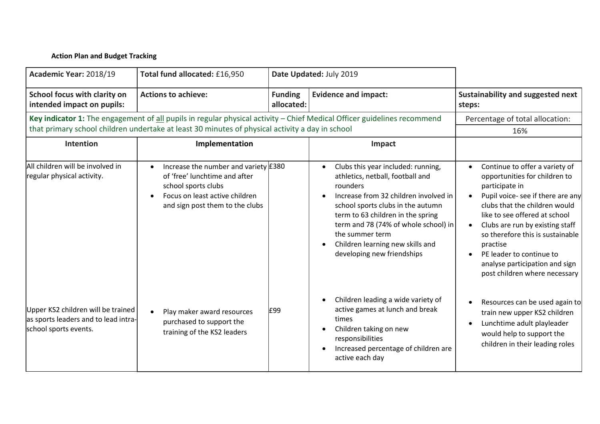## **Action Plan and Budget Tracking**

| Academic Year: 2018/19                                                                              | Total fund allocated: £16,950                                                                                                                                       |                              | Date Updated: July 2019                                                                                                                                                                                                                                                                                                            |                                                                                                                                                                                                                                                                                                                                                                            |
|-----------------------------------------------------------------------------------------------------|---------------------------------------------------------------------------------------------------------------------------------------------------------------------|------------------------------|------------------------------------------------------------------------------------------------------------------------------------------------------------------------------------------------------------------------------------------------------------------------------------------------------------------------------------|----------------------------------------------------------------------------------------------------------------------------------------------------------------------------------------------------------------------------------------------------------------------------------------------------------------------------------------------------------------------------|
| School focus with clarity on<br>intended impact on pupils:                                          | <b>Actions to achieve:</b>                                                                                                                                          | <b>Funding</b><br>allocated: | <b>Evidence and impact:</b>                                                                                                                                                                                                                                                                                                        | Sustainability and suggested next<br>steps:                                                                                                                                                                                                                                                                                                                                |
|                                                                                                     | that primary school children undertake at least 30 minutes of physical activity a day in school                                                                     |                              | Key indicator 1: The engagement of all pupils in regular physical activity - Chief Medical Officer guidelines recommend                                                                                                                                                                                                            | Percentage of total allocation:<br>16%                                                                                                                                                                                                                                                                                                                                     |
| Intention                                                                                           | Implementation                                                                                                                                                      |                              | Impact                                                                                                                                                                                                                                                                                                                             |                                                                                                                                                                                                                                                                                                                                                                            |
| All children will be involved in<br>regular physical activity.                                      | Increase the number and variety $£380$<br>of 'free' lunchtime and after<br>school sports clubs<br>Focus on least active children<br>and sign post them to the clubs |                              | Clubs this year included: running,<br>athletics, netball, football and<br>rounders<br>Increase from 32 children involved in<br>school sports clubs in the autumn<br>term to 63 children in the spring<br>term and 78 (74% of whole school) in<br>the summer term<br>Children learning new skills and<br>developing new friendships | Continue to offer a variety of<br>opportunities for children to<br>participate in<br>Pupil voice- see if there are any<br>clubs that the children would<br>like to see offered at school<br>Clubs are run by existing staff<br>so therefore this is sustainable<br>practise<br>PE leader to continue to<br>analyse participation and sign<br>post children where necessary |
| Upper KS2 children will be trained<br>as sports leaders and to lead intra-<br>school sports events. | Play maker award resources<br>purchased to support the<br>training of the KS2 leaders                                                                               | £99                          | Children leading a wide variety of<br>active games at lunch and break<br>times<br>Children taking on new<br>responsibilities<br>Increased percentage of children are<br>active each day                                                                                                                                            | Resources can be used again to<br>train new upper KS2 children<br>Lunchtime adult playleader<br>would help to support the<br>children in their leading roles                                                                                                                                                                                                               |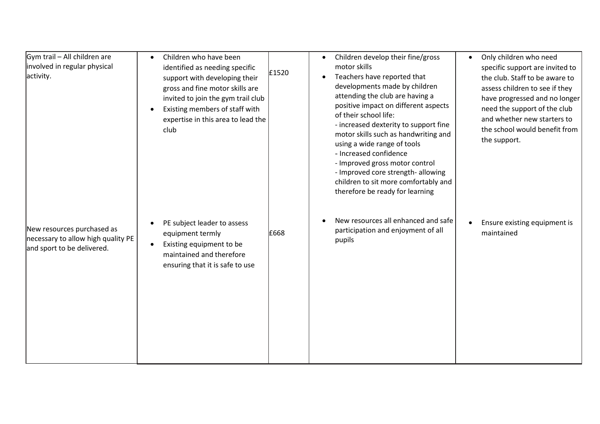| Gym trail - All children are<br>involved in regular physical<br>activity.                      | Children who have been<br>identified as needing specific<br>support with developing their<br>gross and fine motor skills are<br>invited to join the gym trail club<br>Existing members of staff with<br>expertise in this area to lead the<br>club | £1520 | Children develop their fine/gross<br>$\bullet$<br>motor skills<br>Teachers have reported that<br>$\bullet$<br>developments made by children<br>attending the club are having a<br>positive impact on different aspects<br>of their school life:<br>- increased dexterity to support fine<br>motor skills such as handwriting and<br>using a wide range of tools<br>- Increased confidence<br>- Improved gross motor control<br>- Improved core strength- allowing<br>children to sit more comfortably and<br>therefore be ready for learning | Only children who need<br>$\bullet$<br>specific support are invited to<br>the club. Staff to be aware to<br>assess children to see if they<br>have progressed and no longer<br>need the support of the club<br>and whether new starters to<br>the school would benefit from<br>the support. |
|------------------------------------------------------------------------------------------------|----------------------------------------------------------------------------------------------------------------------------------------------------------------------------------------------------------------------------------------------------|-------|----------------------------------------------------------------------------------------------------------------------------------------------------------------------------------------------------------------------------------------------------------------------------------------------------------------------------------------------------------------------------------------------------------------------------------------------------------------------------------------------------------------------------------------------|---------------------------------------------------------------------------------------------------------------------------------------------------------------------------------------------------------------------------------------------------------------------------------------------|
| New resources purchased as<br>necessary to allow high quality PE<br>and sport to be delivered. | PE subject leader to assess<br>equipment termly<br>Existing equipment to be<br>maintained and therefore<br>ensuring that it is safe to use                                                                                                         | £668  | New resources all enhanced and safe<br>participation and enjoyment of all<br>pupils                                                                                                                                                                                                                                                                                                                                                                                                                                                          | Ensure existing equipment is<br>maintained                                                                                                                                                                                                                                                  |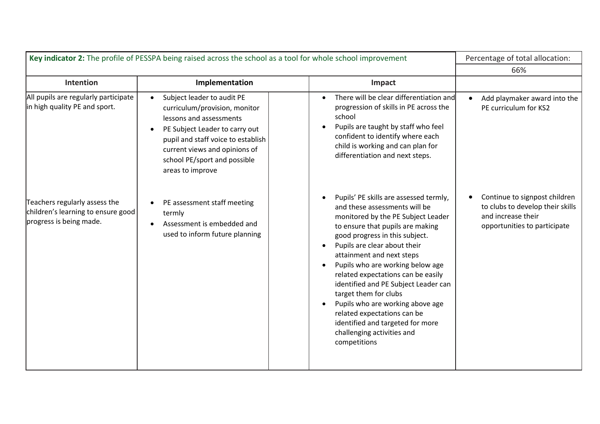| Key indicator 2: The profile of PESSPA being raised across the school as a tool for whole school improvement |                                                                                                                                                                                                                                                                  |                                                                                                                                                                                                                                                                                                                                                                                                                                                                                                                                                               | Percentage of total allocation:                                                                                         |
|--------------------------------------------------------------------------------------------------------------|------------------------------------------------------------------------------------------------------------------------------------------------------------------------------------------------------------------------------------------------------------------|---------------------------------------------------------------------------------------------------------------------------------------------------------------------------------------------------------------------------------------------------------------------------------------------------------------------------------------------------------------------------------------------------------------------------------------------------------------------------------------------------------------------------------------------------------------|-------------------------------------------------------------------------------------------------------------------------|
|                                                                                                              |                                                                                                                                                                                                                                                                  |                                                                                                                                                                                                                                                                                                                                                                                                                                                                                                                                                               | 66%                                                                                                                     |
| Intention                                                                                                    | Implementation                                                                                                                                                                                                                                                   | Impact                                                                                                                                                                                                                                                                                                                                                                                                                                                                                                                                                        |                                                                                                                         |
| All pupils are regularly participate<br>in high quality PE and sport.                                        | Subject leader to audit PE<br>$\bullet$<br>curriculum/provision, monitor<br>lessons and assessments<br>PE Subject Leader to carry out<br>pupil and staff voice to establish<br>current views and opinions of<br>school PE/sport and possible<br>areas to improve | There will be clear differentiation and<br>progression of skills in PE across the<br>school<br>Pupils are taught by staff who feel<br>$\bullet$<br>confident to identify where each<br>child is working and can plan for<br>differentiation and next steps.                                                                                                                                                                                                                                                                                                   | Add playmaker award into the<br>PE curriculum for KS2                                                                   |
| Teachers regularly assess the<br>children's learning to ensure good<br>progress is being made.               | PE assessment staff meeting<br>termly<br>Assessment is embedded and<br>used to inform future planning                                                                                                                                                            | Pupils' PE skills are assessed termly,<br>and these assessments will be<br>monitored by the PE Subject Leader<br>to ensure that pupils are making<br>good progress in this subject.<br>Pupils are clear about their<br>$\bullet$<br>attainment and next steps<br>Pupils who are working below age<br>related expectations can be easily<br>identified and PE Subject Leader can<br>target them for clubs<br>Pupils who are working above age<br>related expectations can be<br>identified and targeted for more<br>challenging activities and<br>competitions | Continue to signpost children<br>to clubs to develop their skills<br>and increase their<br>opportunities to participate |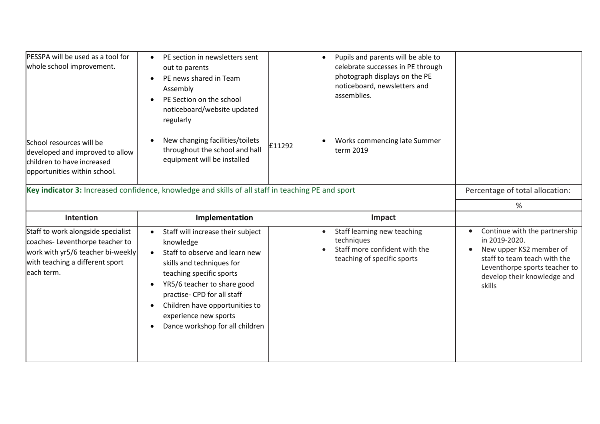| PESSPA will be used as a tool for<br>whole school improvement.                                                                                             | PE section in newsletters sent<br>out to parents<br>PE news shared in Team<br>Assembly<br>PE Section on the school<br>noticeboard/website updated<br>regularly                                                                                                                                                     |        | Pupils and parents will be able to<br>$\bullet$<br>celebrate successes in PE through<br>photograph displays on the PE<br>noticeboard, newsletters and<br>assemblies. |                                                                                                                                                                                     |
|------------------------------------------------------------------------------------------------------------------------------------------------------------|--------------------------------------------------------------------------------------------------------------------------------------------------------------------------------------------------------------------------------------------------------------------------------------------------------------------|--------|----------------------------------------------------------------------------------------------------------------------------------------------------------------------|-------------------------------------------------------------------------------------------------------------------------------------------------------------------------------------|
| School resources will be<br>developed and improved to allow<br>children to have increased<br>opportunities within school.                                  | New changing facilities/toilets<br>throughout the school and hall<br>equipment will be installed                                                                                                                                                                                                                   | £11292 | Works commencing late Summer<br>term 2019                                                                                                                            |                                                                                                                                                                                     |
| Key indicator 3: Increased confidence, knowledge and skills of all staff in teaching PE and sport                                                          |                                                                                                                                                                                                                                                                                                                    |        |                                                                                                                                                                      | Percentage of total allocation:                                                                                                                                                     |
|                                                                                                                                                            |                                                                                                                                                                                                                                                                                                                    |        |                                                                                                                                                                      | %                                                                                                                                                                                   |
| <b>Intention</b>                                                                                                                                           | Implementation                                                                                                                                                                                                                                                                                                     |        | Impact                                                                                                                                                               |                                                                                                                                                                                     |
| Staff to work alongside specialist<br>coaches-Leventhorpe teacher to<br>work with yr5/6 teacher bi-weekly<br>with teaching a different sport<br>each term. | Staff will increase their subject<br>knowledge<br>Staff to observe and learn new<br>$\bullet$<br>skills and techniques for<br>teaching specific sports<br>YR5/6 teacher to share good<br>practise- CPD for all staff<br>Children have opportunities to<br>experience new sports<br>Dance workshop for all children |        | Staff learning new teaching<br>$\bullet$<br>techniques<br>Staff more confident with the<br>teaching of specific sports                                               | Continue with the partnership<br>in 2019-2020.<br>New upper KS2 member of<br>staff to team teach with the<br>Leventhorpe sports teacher to<br>develop their knowledge and<br>skills |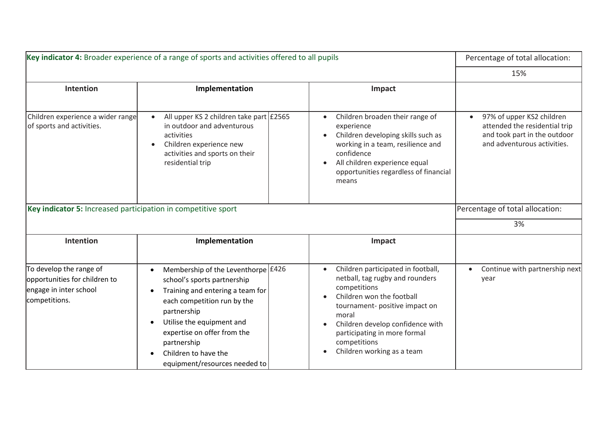| Key indicator 4: Broader experience of a range of sports and activities offered to all pupils       |                                                                                                                                                                                                                                                                                                                     |                                                                                                                                                                                                                                                                                 | Percentage of total allocation:                                                                                           |
|-----------------------------------------------------------------------------------------------------|---------------------------------------------------------------------------------------------------------------------------------------------------------------------------------------------------------------------------------------------------------------------------------------------------------------------|---------------------------------------------------------------------------------------------------------------------------------------------------------------------------------------------------------------------------------------------------------------------------------|---------------------------------------------------------------------------------------------------------------------------|
|                                                                                                     |                                                                                                                                                                                                                                                                                                                     |                                                                                                                                                                                                                                                                                 | 15%                                                                                                                       |
| Intention                                                                                           | Implementation                                                                                                                                                                                                                                                                                                      | Impact                                                                                                                                                                                                                                                                          |                                                                                                                           |
| Children experience a wider range<br>of sports and activities.                                      | All upper KS 2 children take part £2565<br>in outdoor and adventurous<br>activities<br>Children experience new<br>activities and sports on their<br>residential trip                                                                                                                                                | Children broaden their range of<br>experience<br>Children developing skills such as<br>working in a team, resilience and<br>confidence<br>All children experience equal<br>opportunities regardless of financial<br>means                                                       | 97% of upper KS2 children<br>attended the residential trip<br>and took part in the outdoor<br>and adventurous activities. |
| Key indicator 5: Increased participation in competitive sport                                       |                                                                                                                                                                                                                                                                                                                     |                                                                                                                                                                                                                                                                                 | Percentage of total allocation:                                                                                           |
|                                                                                                     |                                                                                                                                                                                                                                                                                                                     |                                                                                                                                                                                                                                                                                 | 3%                                                                                                                        |
| <b>Intention</b>                                                                                    | Implementation                                                                                                                                                                                                                                                                                                      | Impact                                                                                                                                                                                                                                                                          |                                                                                                                           |
| To develop the range of<br>opportunities for children to<br>engage in inter school<br>competitions. | Membership of the Leventhorpe $£426$<br>$\bullet$<br>school's sports partnership<br>Training and entering a team for<br>each competition run by the<br>partnership<br>Utilise the equipment and<br>$\bullet$<br>expertise on offer from the<br>partnership<br>Children to have the<br>equipment/resources needed to | Children participated in football,<br>netball, tag rugby and rounders<br>competitions<br>Children won the football<br>tournament- positive impact on<br>moral<br>Children develop confidence with<br>participating in more formal<br>competitions<br>Children working as a team | Continue with partnership next<br>year                                                                                    |